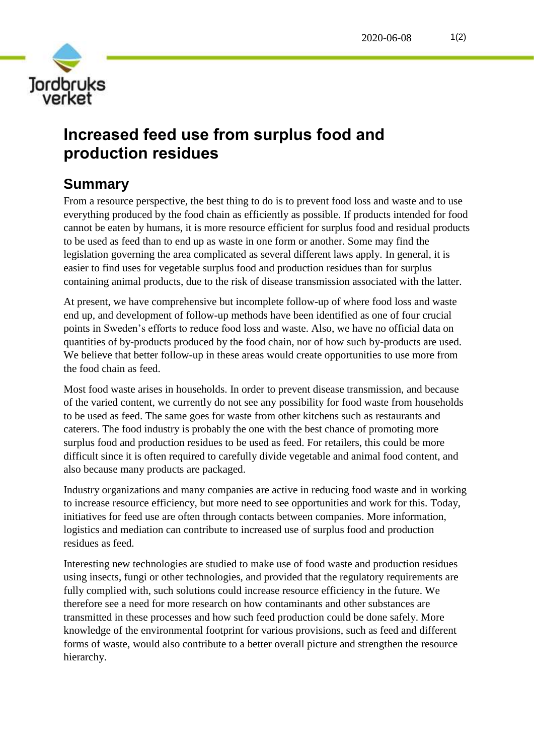

## **Increased feed use from surplus food and production residues**

## **Summary**

From a resource perspective, the best thing to do is to prevent food loss and waste and to use everything produced by the food chain as efficiently as possible. If products intended for food cannot be eaten by humans, it is more resource efficient for surplus food and residual products to be used as feed than to end up as waste in one form or another. Some may find the legislation governing the area complicated as several different laws apply. In general, it is easier to find uses for vegetable surplus food and production residues than for surplus containing animal products, due to the risk of disease transmission associated with the latter.

At present, we have comprehensive but incomplete follow-up of where food loss and waste end up, and development of follow-up methods have been identified as one of four crucial points in Sweden's efforts to reduce food loss and waste. Also, we have no official data on quantities of by-products produced by the food chain, nor of how such by-products are used. We believe that better follow-up in these areas would create opportunities to use more from the food chain as feed.

Most food waste arises in households. In order to prevent disease transmission, and because of the varied content, we currently do not see any possibility for food waste from households to be used as feed. The same goes for waste from other kitchens such as restaurants and caterers. The food industry is probably the one with the best chance of promoting more surplus food and production residues to be used as feed. For retailers, this could be more difficult since it is often required to carefully divide vegetable and animal food content, and also because many products are packaged.

Industry organizations and many companies are active in reducing food waste and in working to increase resource efficiency, but more need to see opportunities and work for this. Today, initiatives for feed use are often through contacts between companies. More information, logistics and mediation can contribute to increased use of surplus food and production residues as feed.

Interesting new technologies are studied to make use of food waste and production residues using insects, fungi or other technologies, and provided that the regulatory requirements are fully complied with, such solutions could increase resource efficiency in the future. We therefore see a need for more research on how contaminants and other substances are transmitted in these processes and how such feed production could be done safely. More knowledge of the environmental footprint for various provisions, such as feed and different forms of waste, would also contribute to a better overall picture and strengthen the resource hierarchy.